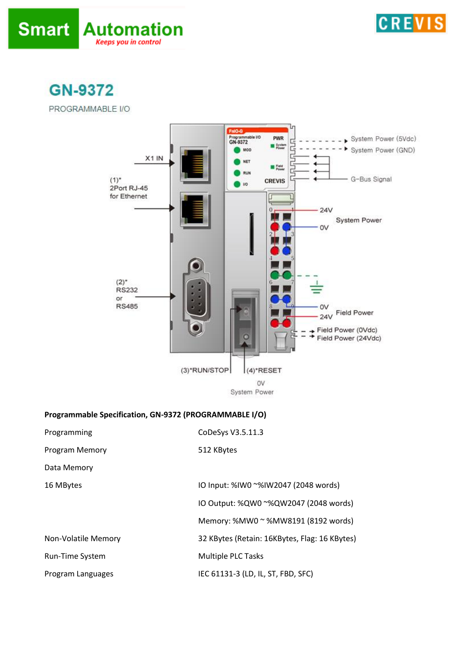



**GN-9372** 

PROGRAMMABLE I/O



## **Programmable Specification, GN-9372 (PROGRAMMABLE I/O)**

| Programming            | CoDeSys V3.5.11.3                             |
|------------------------|-----------------------------------------------|
| Program Memory         | 512 KBytes                                    |
| Data Memory            |                                               |
| 16 MBytes              | IO Input: %IW0 ~%IW2047 (2048 words)          |
|                        | IO Output: %QW0 ~%QW2047 (2048 words)         |
|                        | Memory: %MW0 ~ %MW8191 (8192 words)           |
| Non-Volatile Memory    | 32 KBytes (Retain: 16KBytes, Flag: 16 KBytes) |
| <b>Run-Time System</b> | <b>Multiple PLC Tasks</b>                     |
| Program Languages      | IEC 61131-3 (LD, IL, ST, FBD, SFC)            |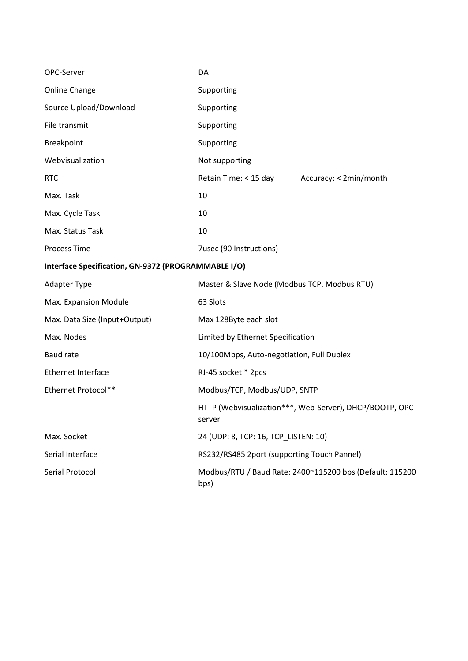| OPC-Server                                          | DA                                           |                                                          |
|-----------------------------------------------------|----------------------------------------------|----------------------------------------------------------|
| Online Change                                       | Supporting                                   |                                                          |
| Source Upload/Download                              | Supporting                                   |                                                          |
| File transmit                                       | Supporting                                   |                                                          |
| Breakpoint                                          | Supporting                                   |                                                          |
| Webvisualization                                    | Not supporting                               |                                                          |
| <b>RTC</b>                                          | Retain Time: < 15 day                        | Accuracy: < 2min/month                                   |
| Max. Task                                           | 10                                           |                                                          |
| Max. Cycle Task                                     | 10                                           |                                                          |
| Max. Status Task                                    | 10                                           |                                                          |
| <b>Process Time</b>                                 | 7usec (90 Instructions)                      |                                                          |
| Interface Specification, GN-9372 (PROGRAMMABLE I/O) |                                              |                                                          |
| <b>Adapter Type</b>                                 | Master & Slave Node (Modbus TCP, Modbus RTU) |                                                          |
| Max. Expansion Module                               | 63 Slots                                     |                                                          |
| Max. Data Size (Input+Output)                       | Max 128Byte each slot                        |                                                          |
| Max. Nodes                                          | Limited by Ethernet Specification            |                                                          |
| <b>Baud rate</b>                                    | 10/100Mbps, Auto-negotiation, Full Duplex    |                                                          |
| <b>Ethernet Interface</b>                           | RJ-45 socket * 2pcs                          |                                                          |
| Ethernet Protocol**                                 | Modbus/TCP, Modbus/UDP, SNTP                 |                                                          |
|                                                     | server                                       | HTTP (Webvisualization***, Web-Server), DHCP/BOOTP, OPC- |
| Max. Socket                                         | 24 (UDP: 8, TCP: 16, TCP LISTEN: 10)         |                                                          |
| Serial Interface                                    | RS232/RS485 2port (supporting Touch Pannel)  |                                                          |
| Serial Protocol                                     | bps)                                         | Modbus/RTU / Baud Rate: 2400~115200 bps (Default: 115200 |